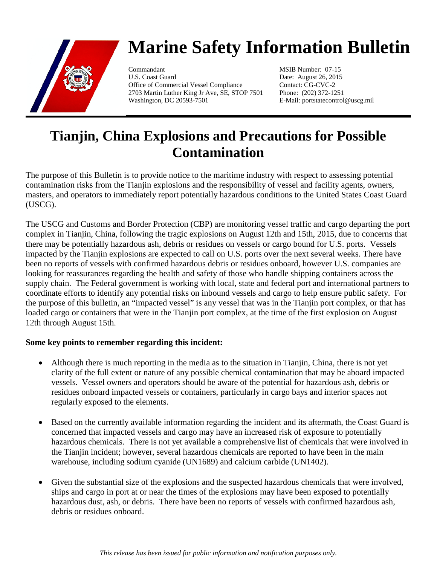

## **Marine Safety Information Bulletin**

Commandant MSIB Number: 07-15 U.S. Coast Guard Date: August 26, 2015 Office of Commercial Vessel Compliance Contact: CG-CVC-2 2703 Martin Luther King Jr Ave, SE, STOP 7501 Phone: (202) 372-1251 Washington, DC 20593-7501 E-Mail: portstatecontrol@uscg.mil

## **Tianjin, China Explosions and Precautions for Possible Contamination**

The purpose of this Bulletin is to provide notice to the maritime industry with respect to assessing potential contamination risks from the Tianjin explosions and the responsibility of vessel and facility agents, owners, masters, and operators to immediately report potentially hazardous conditions to the United States Coast Guard (USCG).

The USCG and Customs and Border Protection (CBP) are monitoring vessel traffic and cargo departing the port complex in Tianjin, China, following the tragic explosions on August 12th and 15th, 2015, due to concerns that there may be potentially hazardous ash, debris or residues on vessels or cargo bound for U.S. ports. Vessels impacted by the Tianjin explosions are expected to call on U.S. ports over the next several weeks. There have been no reports of vessels with confirmed hazardous debris or residues onboard, however U.S. companies are looking for reassurances regarding the health and safety of those who handle shipping containers across the supply chain. The Federal government is working with local, state and federal port and international partners to coordinate efforts to identify any potential risks on inbound vessels and cargo to help ensure public safety. For the purpose of this bulletin, an "impacted vessel" is any vessel that was in the Tianjin port complex, or that has loaded cargo or containers that were in the Tianjin port complex, at the time of the first explosion on August 12th through August 15th.

## **Some key points to remember regarding this incident:**

- Although there is much reporting in the media as to the situation in Tianjin, China, there is not yet clarity of the full extent or nature of any possible chemical contamination that may be aboard impacted vessels. Vessel owners and operators should be aware of the potential for hazardous ash, debris or residues onboard impacted vessels or containers, particularly in cargo bays and interior spaces not regularly exposed to the elements.
- Based on the currently available information regarding the incident and its aftermath, the Coast Guard is concerned that impacted vessels and cargo may have an increased risk of exposure to potentially hazardous chemicals. There is not yet available a comprehensive list of chemicals that were involved in the Tianjin incident; however, several hazardous chemicals are reported to have been in the main warehouse, including sodium cyanide (UN1689) and calcium carbide (UN1402).
- Given the substantial size of the explosions and the suspected hazardous chemicals that were involved, ships and cargo in port at or near the times of the explosions may have been exposed to potentially hazardous dust, ash, or debris. There have been no reports of vessels with confirmed hazardous ash, debris or residues onboard.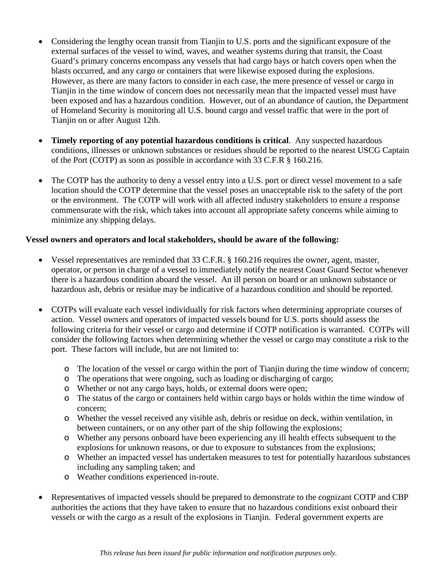- Considering the lengthy ocean transit from Tianjin to U.S. ports and the significant exposure of the external surfaces of the vessel to wind, waves, and weather systems during that transit, the Coast Guard's primary concerns encompass any vessels that had cargo bays or hatch covers open when the blasts occurred, and any cargo or containers that were likewise exposed during the explosions. However, as there are many factors to consider in each case, the mere presence of vessel or cargo in Tianjin in the time window of concern does not necessarily mean that the impacted vessel must have been exposed and has a hazardous condition. However, out of an abundance of caution, the Department of Homeland Security is monitoring all U.S. bound cargo and vessel traffic that were in the port of Tianjin on or after August 12th.
- **Timely reporting of any potential hazardous conditions is critical**. Any suspected hazardous conditions, illnesses or unknown substances or residues should be reported to the nearest USCG Captain of the Port (COTP) as soon as possible in accordance with 33 C.F.R § 160.216.
- The COTP has the authority to deny a vessel entry into a U.S. port or direct vessel movement to a safe location should the COTP determine that the vessel poses an unacceptable risk to the safety of the port or the environment. The COTP will work with all affected industry stakeholders to ensure a response commensurate with the risk, which takes into account all appropriate safety concerns while aiming to minimize any shipping delays.

## **Vessel owners and operators and local stakeholders, should be aware of the following:**

- Vessel representatives are reminded that 33 C.F.R. § 160.216 requires the owner, agent, master, operator, or person in charge of a vessel to immediately notify the nearest Coast Guard Sector whenever there is a hazardous condition aboard the vessel. An ill person on board or an unknown substance or hazardous ash, debris or residue may be indicative of a hazardous condition and should be reported.
- COTPs will evaluate each vessel individually for risk factors when determining appropriate courses of action. Vessel owners and operators of impacted vessels bound for U.S. ports should assess the following criteria for their vessel or cargo and determine if COTP notification is warranted. COTPs will consider the following factors when determining whether the vessel or cargo may constitute a risk to the port. These factors will include, but are not limited to:
	- o The location of the vessel or cargo within the port of Tianjin during the time window of concern;
	- o The operations that were ongoing, such as loading or discharging of cargo;
	- o Whether or not any cargo bays, holds, or external doors were open;
	- o The status of the cargo or containers held within cargo bays or holds within the time window of concern;
	- o Whether the vessel received any visible ash, debris or residue on deck, within ventilation, in between containers, or on any other part of the ship following the explosions;
	- o Whether any persons onboard have been experiencing any ill health effects subsequent to the explosions for unknown reasons, or due to exposure to substances from the explosions;
	- o Whether an impacted vessel has undertaken measures to test for potentially hazardous substances including any sampling taken; and
	- o Weather conditions experienced in-route.
- Representatives of impacted vessels should be prepared to demonstrate to the cognizant COTP and CBP authorities the actions that they have taken to ensure that no hazardous conditions exist onboard their vessels or with the cargo as a result of the explosions in Tianjin. Federal government experts are